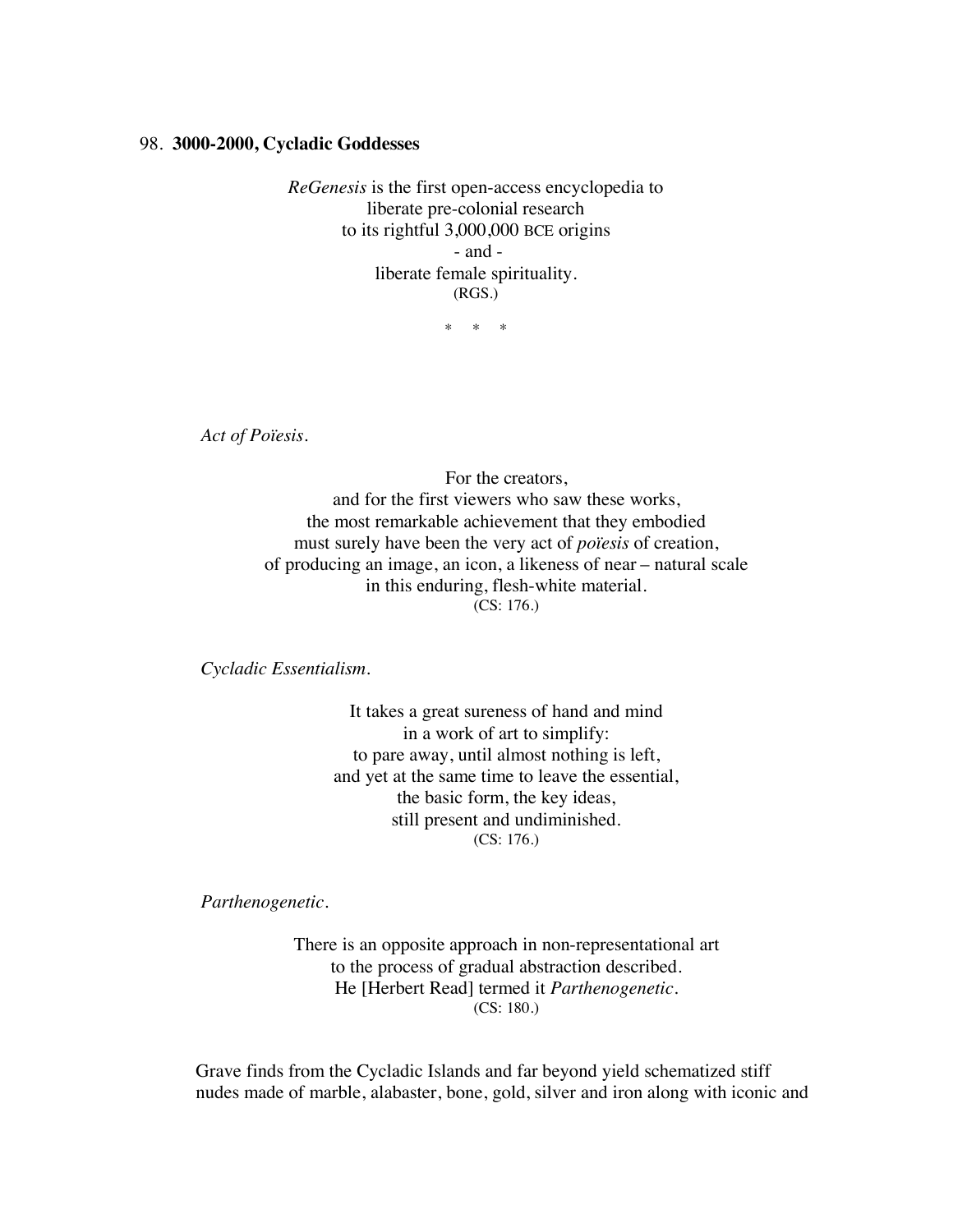## 98. **3000-2000, Cycladic Goddesses**

*ReGenesis* is the first open-access encyclopedia to liberate pre-colonial research to its rightful 3,000,000 BCE origins - and liberate female spirituality. (RGS.)

\* \* \*

*Act of Poïesis.*

For the creators, and for the first viewers who saw these works, the most remarkable achievement that they embodied must surely have been the very act of *poïesis* of creation, of producing an image, an icon, a likeness of near – natural scale in this enduring, flesh-white material. (CS: 176.)

*Cycladic Essentialism.*

It takes a great sureness of hand and mind in a work of art to simplify: to pare away, until almost nothing is left, and yet at the same time to leave the essential, the basic form, the key ideas, still present and undiminished. (CS: 176.)

*Parthenogenetic.*

There is an opposite approach in non-representational art to the process of gradual abstraction described. He [Herbert Read] termed it *Parthenogenetic.* (CS: 180.)

Grave finds from the Cycladic Islands and far beyond yield schematized stiff nudes made of marble, alabaster, bone, gold, silver and iron along with iconic and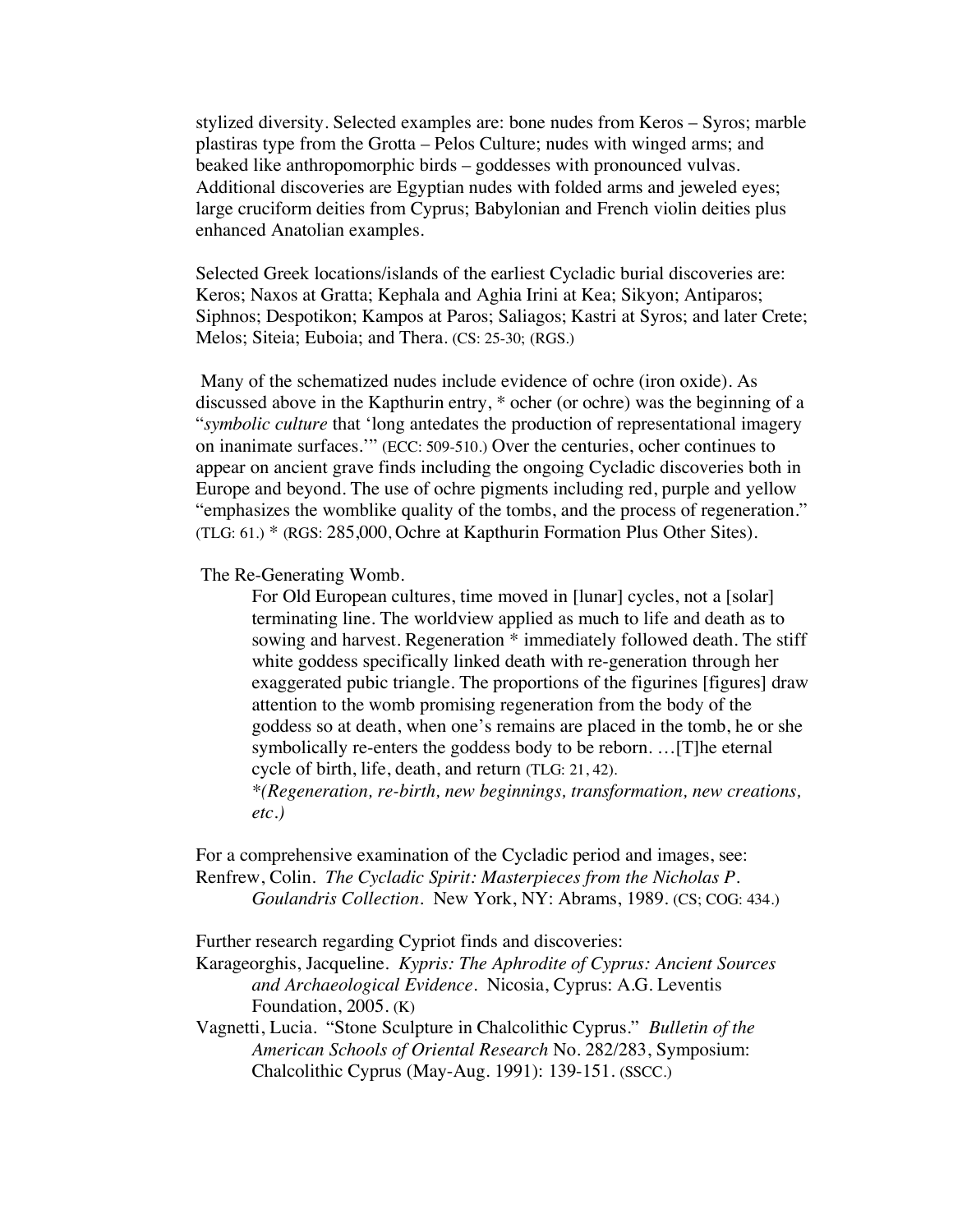stylized diversity. Selected examples are: bone nudes from Keros – Syros; marble plastiras type from the Grotta – Pelos Culture; nudes with winged arms; and beaked like anthropomorphic birds – goddesses with pronounced vulvas. Additional discoveries are Egyptian nudes with folded arms and jeweled eyes; large cruciform deities from Cyprus; Babylonian and French violin deities plus enhanced Anatolian examples.

Selected Greek locations/islands of the earliest Cycladic burial discoveries are: Keros; Naxos at Gratta; Kephala and Aghia Irini at Kea; Sikyon; Antiparos; Siphnos; Despotikon; Kampos at Paros; Saliagos; Kastri at Syros; and later Crete; Melos; Siteia; Euboia; and Thera. (CS: 25-30; (RGS.)

Many of the schematized nudes include evidence of ochre (iron oxide). As discussed above in the Kapthurin entry, \* ocher (or ochre) was the beginning of a "*symbolic culture* that 'long antedates the production of representational imagery on inanimate surfaces.'" (ECC: 509-510.) Over the centuries, ocher continues to appear on ancient grave finds including the ongoing Cycladic discoveries both in Europe and beyond. The use of ochre pigments including red, purple and yellow "emphasizes the womblike quality of the tombs, and the process of regeneration." (TLG: 61.) \* (RGS: 285,000, Ochre at Kapthurin Formation Plus Other Sites).

The Re-Generating Womb.

For Old European cultures, time moved in [lunar] cycles, not a [solar] terminating line. The worldview applied as much to life and death as to sowing and harvest. Regeneration \* immediately followed death. The stiff white goddess specifically linked death with re-generation through her exaggerated pubic triangle. The proportions of the figurines [figures] draw attention to the womb promising regeneration from the body of the goddess so at death, when one's remains are placed in the tomb, he or she symbolically re-enters the goddess body to be reborn. …[T]he eternal cycle of birth, life, death, and return (TLG: 21, 42).

*\*(Regeneration, re-birth, new beginnings, transformation, new creations, etc.)*

For a comprehensive examination of the Cycladic period and images, see: Renfrew, Colin. *The Cycladic Spirit: Masterpieces from the Nicholas P. Goulandris Collection*. New York, NY: Abrams, 1989. (CS; COG: 434.)

Further research regarding Cypriot finds and discoveries:

Karageorghis, Jacqueline. *Kypris: The Aphrodite of Cyprus: Ancient Sources and Archaeological Evidence*. Nicosia, Cyprus: A.G. Leventis Foundation, 2005. (K)

Vagnetti, Lucia. "Stone Sculpture in Chalcolithic Cyprus." *Bulletin of the American Schools of Oriental Research* No. 282/283, Symposium: Chalcolithic Cyprus (May-Aug. 1991): 139-151. (SSCC.)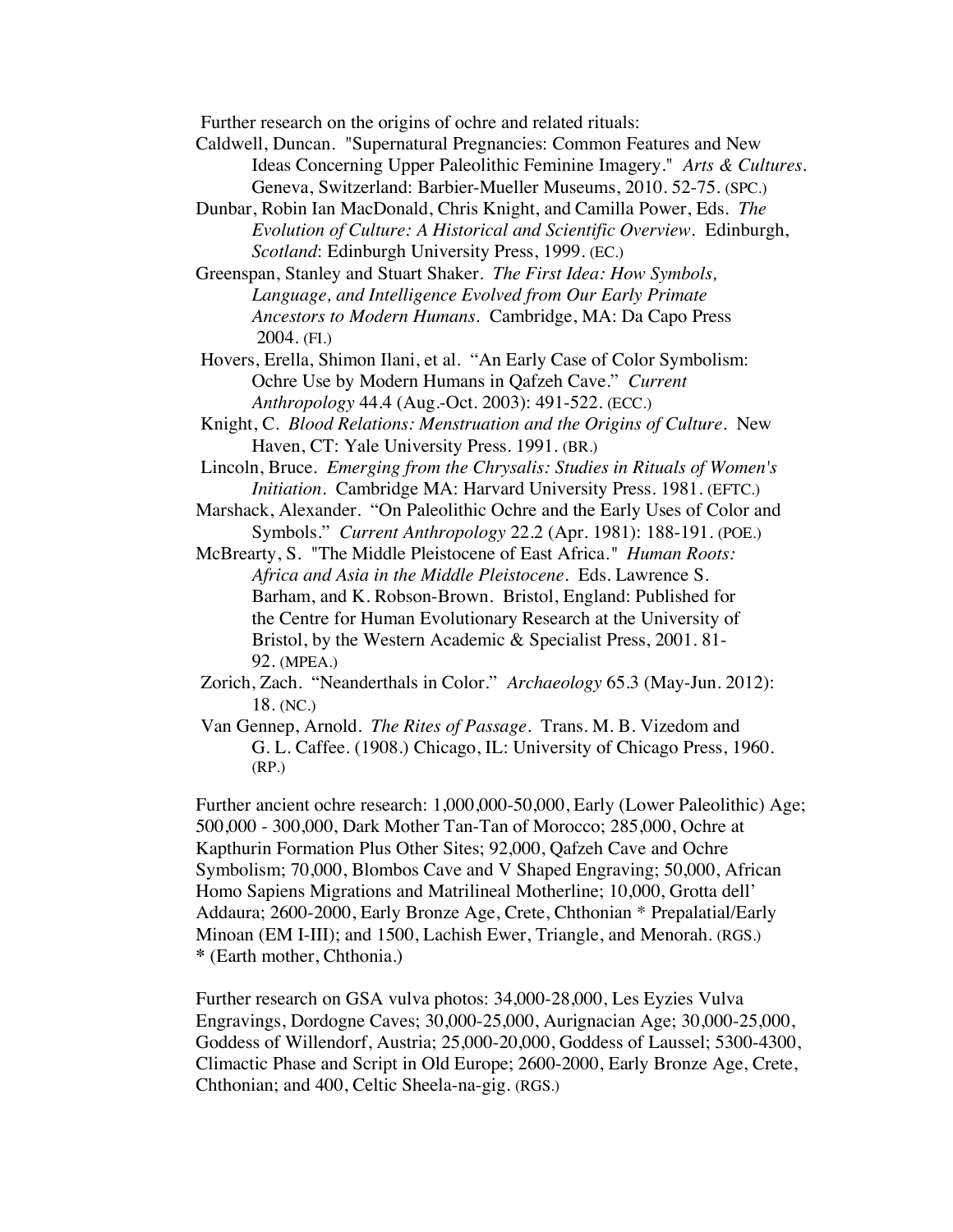Further research on the origins of ochre and related rituals:

- Caldwell, Duncan. "Supernatural Pregnancies: Common Features and New Ideas Concerning Upper Paleolithic Feminine Imagery." *Arts & Cultures.* Geneva, Switzerland: Barbier-Mueller Museums, 2010. 52-75. (SPC.)
- Dunbar, Robin Ian MacDonald, Chris Knight, and Camilla Power, Eds. *The Evolution of Culture: A Historical and Scientific Overview.* Edinburgh, *Scotland*: Edinburgh University Press, 1999. (EC.)

Greenspan, Stanley and Stuart Shaker. *The First Idea: How Symbols, Language, and Intelligence Evolved from Our Early Primate Ancestors to Modern Humans.* Cambridge, MA: Da Capo Press 2004. (FI.)

Hovers, Erella, Shimon Ilani, et al. "An Early Case of Color Symbolism: Ochre Use by Modern Humans in Qafzeh Cave." *Current Anthropology* 44.4 (Aug.-Oct. 2003): 491-522. (ECC.)

- Knight, C. *Blood Relations: Menstruation and the Origins of Culture*. New Haven, CT: Yale University Press. 1991. (BR.)
- Lincoln, Bruce. *Emerging from the Chrysalis: Studies in Rituals of Women's Initiation.* Cambridge MA: Harvard University Press. 1981. (EFTC.)
- Marshack, Alexander. "On Paleolithic Ochre and the Early Uses of Color and Symbols." *Current Anthropology* 22.2 (Apr. 1981): 188-191. (POE.)
- McBrearty, S. "The Middle Pleistocene of East Africa*." Human Roots: Africa and Asia in the Middle Pleistocene.* Eds. Lawrence S. Barham, and K. Robson-Brown. Bristol, England: Published for the Centre for Human Evolutionary Research at the University of Bristol, by the Western Academic & Specialist Press, 2001. 81- 92. (MPEA.)
- Zorich, Zach. "Neanderthals in Color." *Archaeology* 65.3 (May-Jun. 2012): 18. (NC.)
- Van Gennep, Arnold. *The Rites of Passage*. Trans. M. B. Vizedom and G. L. Caffee. (1908.) Chicago, IL: University of Chicago Press, 1960. (RP.)

Further ancient ochre research: 1,000,000-50,000, Early (Lower Paleolithic) Age; 500,000 - 300,000, Dark Mother Tan-Tan of Morocco; 285,000, Ochre at Kapthurin Formation Plus Other Sites; 92,000, Qafzeh Cave and Ochre Symbolism; 70,000, Blombos Cave and V Shaped Engraving; 50,000, African Homo Sapiens Migrations and Matrilineal Motherline; 10,000, Grotta dell' Addaura; 2600-2000, Early Bronze Age, Crete, Chthonian \* Prepalatial/Early Minoan (EM I-III); and 1500, Lachish Ewer, Triangle, and Menorah. (RGS.) **\*** (Earth mother, Chthonia.)

Further research on GSA vulva photos: 34,000-28,000, Les Eyzies Vulva Engravings, Dordogne Caves; 30,000-25,000, Aurignacian Age; 30,000-25,000, Goddess of Willendorf, Austria; 25,000-20,000, Goddess of Laussel; 5300-4300, Climactic Phase and Script in Old Europe; 2600-2000, Early Bronze Age, Crete, Chthonian; and 400, Celtic Sheela-na-gig. (RGS.)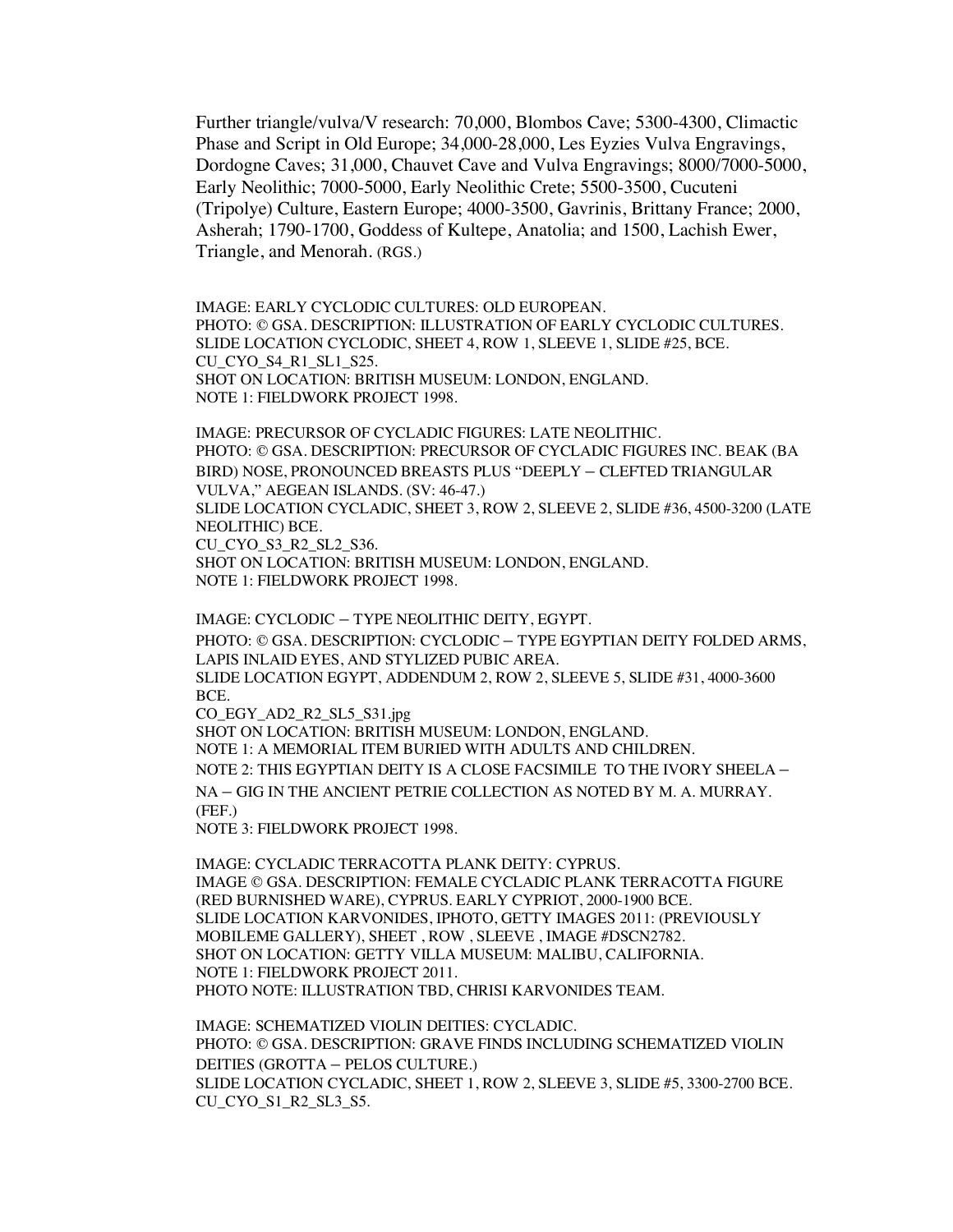Further triangle/vulva/V research: 70,000, Blombos Cave; 5300-4300, Climactic Phase and Script in Old Europe; 34,000-28,000, Les Eyzies Vulva Engravings, Dordogne Caves; 31,000, Chauvet Cave and Vulva Engravings; 8000/7000-5000, Early Neolithic; 7000-5000, Early Neolithic Crete; 5500-3500, Cucuteni (Tripolye) Culture, Eastern Europe; 4000-3500, Gavrinis, Brittany France; 2000, Asherah; 1790-1700, Goddess of Kultepe, Anatolia; and 1500, Lachish Ewer, Triangle, and Menorah. (RGS.)

IMAGE: EARLY CYCLODIC CULTURES: OLD EUROPEAN. PHOTO: © GSA. DESCRIPTION: ILLUSTRATION OF EARLY CYCLODIC CULTURES. SLIDE LOCATION CYCLODIC, SHEET 4, ROW 1, SLEEVE 1, SLIDE #25, BCE. CU\_CYO\_S4\_R1\_SL1\_S25. SHOT ON LOCATION: BRITISH MUSEUM: LONDON, ENGLAND. NOTE 1: FIELDWORK PROJECT 1998.

IMAGE: PRECURSOR OF CYCLADIC FIGURES: LATE NEOLITHIC. PHOTO: © GSA. DESCRIPTION: PRECURSOR OF CYCLADIC FIGURES INC. BEAK (BA BIRD) NOSE, PRONOUNCED BREASTS PLUS "DEEPLY – CLEFTED TRIANGULAR VULVA," AEGEAN ISLANDS. (SV: 46-47.) SLIDE LOCATION CYCLADIC, SHEET 3, ROW 2, SLEEVE 2, SLIDE #36, 4500-3200 (LATE NEOLITHIC) BCE. CU\_CYO\_S3\_R2\_SL2\_S36.

SHOT ON LOCATION: BRITISH MUSEUM: LONDON, ENGLAND. NOTE 1: FIELDWORK PROJECT 1998.

IMAGE: CYCLODIC – TYPE NEOLITHIC DEITY, EGYPT. PHOTO: © GSA. DESCRIPTION: CYCLODIC – TYPE EGYPTIAN DEITY FOLDED ARMS, LAPIS INLAID EYES, AND STYLIZED PUBIC AREA. SLIDE LOCATION EGYPT, ADDENDUM 2, ROW 2, SLEEVE 5, SLIDE #31, 4000-3600 BCE. CO\_EGY\_AD2\_R2\_SL5\_S31.jpg SHOT ON LOCATION: BRITISH MUSEUM: LONDON, ENGLAND. NOTE 1: A MEMORIAL ITEM BURIED WITH ADULTS AND CHILDREN. NOTE 2: THIS EGYPTIAN DEITY IS A CLOSE FACSIMILE TO THE IVORY SHEELA – NA – GIG IN THE ANCIENT PETRIE COLLECTION AS NOTED BY M. A. MURRAY. (FEF.)

NOTE 3: FIELDWORK PROJECT 1998.

IMAGE: CYCLADIC TERRACOTTA PLANK DEITY: CYPRUS. IMAGE © GSA. DESCRIPTION: FEMALE CYCLADIC PLANK TERRACOTTA FIGURE (RED BURNISHED WARE), CYPRUS. EARLY CYPRIOT, 2000-1900 BCE. SLIDE LOCATION KARVONIDES, IPHOTO, GETTY IMAGES 2011: (PREVIOUSLY MOBILEME GALLERY), SHEET , ROW , SLEEVE , IMAGE #DSCN2782. SHOT ON LOCATION: GETTY VILLA MUSEUM: MALIBU, CALIFORNIA. NOTE 1: FIELDWORK PROJECT 2011. PHOTO NOTE: ILLUSTRATION TBD, CHRISI KARVONIDES TEAM.

IMAGE: SCHEMATIZED VIOLIN DEITIES: CYCLADIC. PHOTO: © GSA. DESCRIPTION: GRAVE FINDS INCLUDING SCHEMATIZED VIOLIN DEITIES (GROTTA – PELOS CULTURE.) SLIDE LOCATION CYCLADIC, SHEET 1, ROW 2, SLEEVE 3, SLIDE #5, 3300-2700 BCE. CU\_CYO\_S1\_R2\_SL3\_S5.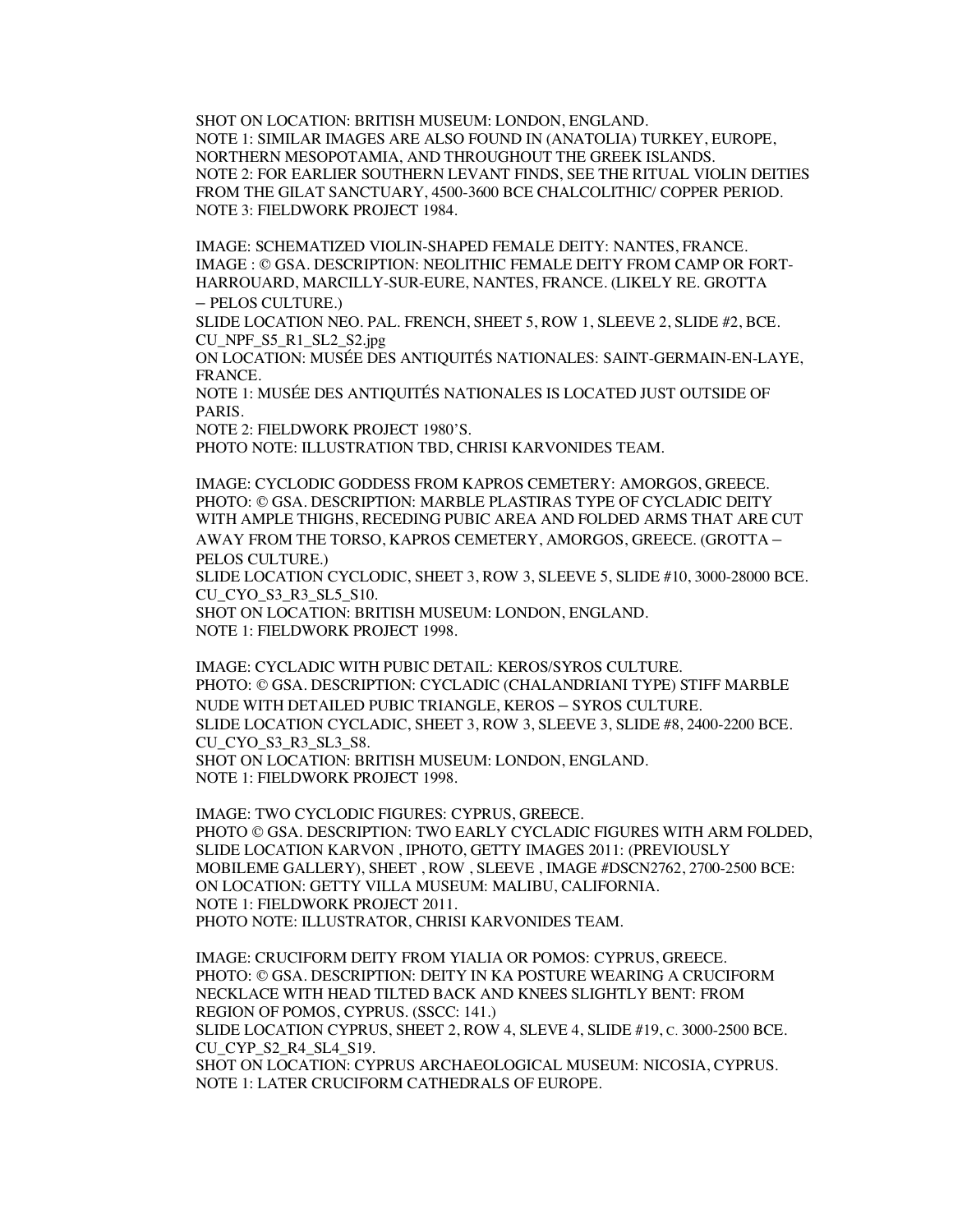SHOT ON LOCATION: BRITISH MUSEUM: LONDON, ENGLAND. NOTE 1: SIMILAR IMAGES ARE ALSO FOUND IN (ANATOLIA) TURKEY, EUROPE, NORTHERN MESOPOTAMIA, AND THROUGHOUT THE GREEK ISLANDS. NOTE 2: FOR EARLIER SOUTHERN LEVANT FINDS, SEE THE RITUAL VIOLIN DEITIES FROM THE GILAT SANCTUARY, 4500-3600 BCE CHALCOLITHIC/ COPPER PERIOD. NOTE 3: FIELDWORK PROJECT 1984.

IMAGE: SCHEMATIZED VIOLIN-SHAPED FEMALE DEITY: NANTES, FRANCE. IMAGE : © GSA. DESCRIPTION: NEOLITHIC FEMALE DEITY FROM CAMP OR FORT-HARROUARD, MARCILLY-SUR-EURE, NANTES, FRANCE. (LIKELY RE. GROTTA – PELOS CULTURE.)

SLIDE LOCATION NEO. PAL. FRENCH, SHEET 5, ROW 1, SLEEVE 2, SLIDE #2, BCE. CU\_NPF\_S5\_R1\_SL2\_S2.jpg

ON LOCATION: MUSÉE DES ANTIQUITÉS NATIONALES: SAINT-GERMAIN-EN-LAYE, FRANCE.

NOTE 1: MUSÉE DES ANTIQUITÉS NATIONALES IS LOCATED JUST OUTSIDE OF PARIS.

NOTE 2: FIELDWORK PROJECT 1980'S.

PHOTO NOTE: ILLUSTRATION TBD, CHRISI KARVONIDES TEAM.

IMAGE: CYCLODIC GODDESS FROM KAPROS CEMETERY: AMORGOS, GREECE. PHOTO: © GSA. DESCRIPTION: MARBLE PLASTIRAS TYPE OF CYCLADIC DEITY WITH AMPLE THIGHS, RECEDING PUBIC AREA AND FOLDED ARMS THAT ARE CUT AWAY FROM THE TORSO, KAPROS CEMETERY, AMORGOS, GREECE. (GROTTA – PELOS CULTURE.)

SLIDE LOCATION CYCLODIC, SHEET 3, ROW 3, SLEEVE 5, SLIDE #10, 3000-28000 BCE. CU\_CYO\_S3\_R3\_SL5\_S10.

SHOT ON LOCATION: BRITISH MUSEUM: LONDON, ENGLAND. NOTE 1: FIELDWORK PROJECT 1998.

IMAGE: CYCLADIC WITH PUBIC DETAIL: KEROS/SYROS CULTURE. PHOTO: © GSA. DESCRIPTION: CYCLADIC (CHALANDRIANI TYPE) STIFF MARBLE NUDE WITH DETAILED PUBIC TRIANGLE, KEROS – SYROS CULTURE. SLIDE LOCATION CYCLADIC, SHEET 3, ROW 3, SLEEVE 3, SLIDE #8, 2400-2200 BCE. CU CYO S3 R3 SL3 S8. SHOT ON LOCATION: BRITISH MUSEUM: LONDON, ENGLAND.

NOTE 1: FIELDWORK PROJECT 1998.

IMAGE: TWO CYCLODIC FIGURES: CYPRUS, GREECE. PHOTO © GSA. DESCRIPTION: TWO EARLY CYCLADIC FIGURES WITH ARM FOLDED, SLIDE LOCATION KARVON , IPHOTO, GETTY IMAGES 2011: (PREVIOUSLY MOBILEME GALLERY), SHEET , ROW , SLEEVE , IMAGE #DSCN2762, 2700-2500 BCE: ON LOCATION: GETTY VILLA MUSEUM: MALIBU, CALIFORNIA. NOTE 1: FIELDWORK PROJECT 2011. PHOTO NOTE: ILLUSTRATOR, CHRISI KARVONIDES TEAM.

IMAGE: CRUCIFORM DEITY FROM YIALIA OR POMOS: CYPRUS, GREECE. PHOTO: © GSA. DESCRIPTION: DEITY IN KA POSTURE WEARING A CRUCIFORM NECKLACE WITH HEAD TILTED BACK AND KNEES SLIGHTLY BENT: FROM REGION OF POMOS, CYPRUS. (SSCC: 141.)

SLIDE LOCATION CYPRUS, SHEET 2, ROW 4, SLEVE 4, SLIDE #19, C. 3000-2500 BCE. CU CYP S2 R4 SL4 S19.

SHOT ON LOCATION: CYPRUS ARCHAEOLOGICAL MUSEUM: NICOSIA, CYPRUS. NOTE 1: LATER CRUCIFORM CATHEDRALS OF EUROPE.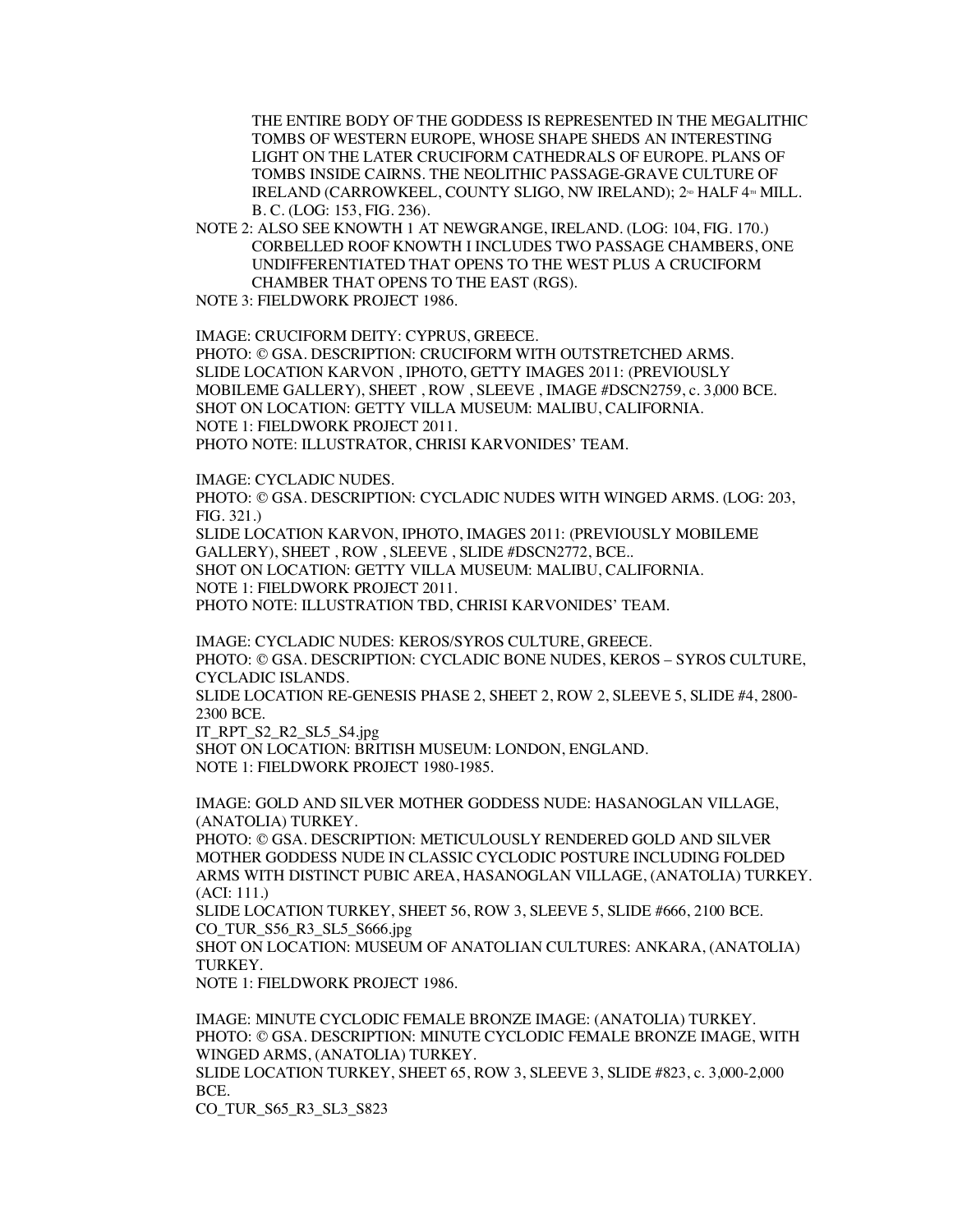THE ENTIRE BODY OF THE GODDESS IS REPRESENTED IN THE MEGALITHIC TOMBS OF WESTERN EUROPE, WHOSE SHAPE SHEDS AN INTERESTING LIGHT ON THE LATER CRUCIFORM CATHEDRALS OF EUROPE. PLANS OF TOMBS INSIDE CAIRNS. THE NEOLITHIC PASSAGE-GRAVE CULTURE OF IRELAND (CARROWKEEL, COUNTY SLIGO, NW IRELAND); 2<sup>nd</sup> HALF 4<sup>th</sup> MILL. B. C. (LOG: 153, FIG. 236).

NOTE 2: ALSO SEE KNOWTH 1 AT NEWGRANGE, IRELAND. (LOG: 104, FIG. 170.) CORBELLED ROOF KNOWTH I INCLUDES TWO PASSAGE CHAMBERS, ONE UNDIFFERENTIATED THAT OPENS TO THE WEST PLUS A CRUCIFORM CHAMBER THAT OPENS TO THE EAST (RGS).

NOTE 3: FIELDWORK PROJECT 1986.

IMAGE: CRUCIFORM DEITY: CYPRUS, GREECE.

PHOTO: © GSA. DESCRIPTION: CRUCIFORM WITH OUTSTRETCHED ARMS. SLIDE LOCATION KARVON , IPHOTO, GETTY IMAGES 2011: (PREVIOUSLY MOBILEME GALLERY), SHEET , ROW , SLEEVE , IMAGE #DSCN2759, c. 3,000 BCE. SHOT ON LOCATION: GETTY VILLA MUSEUM: MALIBU, CALIFORNIA. NOTE 1: FIELDWORK PROJECT 2011. PHOTO NOTE: ILLUSTRATOR, CHRISI KARVONIDES' TEAM.

IMAGE: CYCLADIC NUDES.

PHOTO: © GSA. DESCRIPTION: CYCLADIC NUDES WITH WINGED ARMS. (LOG: 203, FIG. 321.)

SLIDE LOCATION KARVON, IPHOTO, IMAGES 2011: (PREVIOUSLY MOBILEME GALLERY), SHEET , ROW , SLEEVE , SLIDE #DSCN2772, BCE.. SHOT ON LOCATION: GETTY VILLA MUSEUM: MALIBU, CALIFORNIA. NOTE 1: FIELDWORK PROJECT 2011. PHOTO NOTE: ILLUSTRATION TBD, CHRISI KARVONIDES' TEAM.

IMAGE: CYCLADIC NUDES: KEROS/SYROS CULTURE, GREECE. PHOTO: © GSA. DESCRIPTION: CYCLADIC BONE NUDES, KEROS – SYROS CULTURE, CYCLADIC ISLANDS.

SLIDE LOCATION RE-GENESIS PHASE 2, SHEET 2, ROW 2, SLEEVE 5, SLIDE #4, 2800- 2300 BCE.

IT\_RPT\_S2\_R2\_SL5\_S4.jpg

SHOT ON LOCATION: BRITISH MUSEUM: LONDON, ENGLAND. NOTE 1: FIELDWORK PROJECT 1980-1985.

IMAGE: GOLD AND SILVER MOTHER GODDESS NUDE: HASANOGLAN VILLAGE, (ANATOLIA) TURKEY.

PHOTO: © GSA. DESCRIPTION: METICULOUSLY RENDERED GOLD AND SILVER MOTHER GODDESS NUDE IN CLASSIC CYCLODIC POSTURE INCLUDING FOLDED ARMS WITH DISTINCT PUBIC AREA, HASANOGLAN VILLAGE, (ANATOLIA) TURKEY. (ACI: 111.)

SLIDE LOCATION TURKEY, SHEET 56, ROW 3, SLEEVE 5, SLIDE #666, 2100 BCE. CO\_TUR\_S56\_R3\_SL5\_S666.jpg

SHOT ON LOCATION: MUSEUM OF ANATOLIAN CULTURES: ANKARA, (ANATOLIA) TURKEY.

NOTE 1: FIELDWORK PROJECT 1986.

IMAGE: MINUTE CYCLODIC FEMALE BRONZE IMAGE: (ANATOLIA) TURKEY. PHOTO: © GSA. DESCRIPTION: MINUTE CYCLODIC FEMALE BRONZE IMAGE, WITH WINGED ARMS, (ANATOLIA) TURKEY. SLIDE LOCATION TURKEY, SHEET 65, ROW 3, SLEEVE 3, SLIDE #823, c. 3,000-2,000 BCE.

CO\_TUR\_S65\_R3\_SL3\_S823